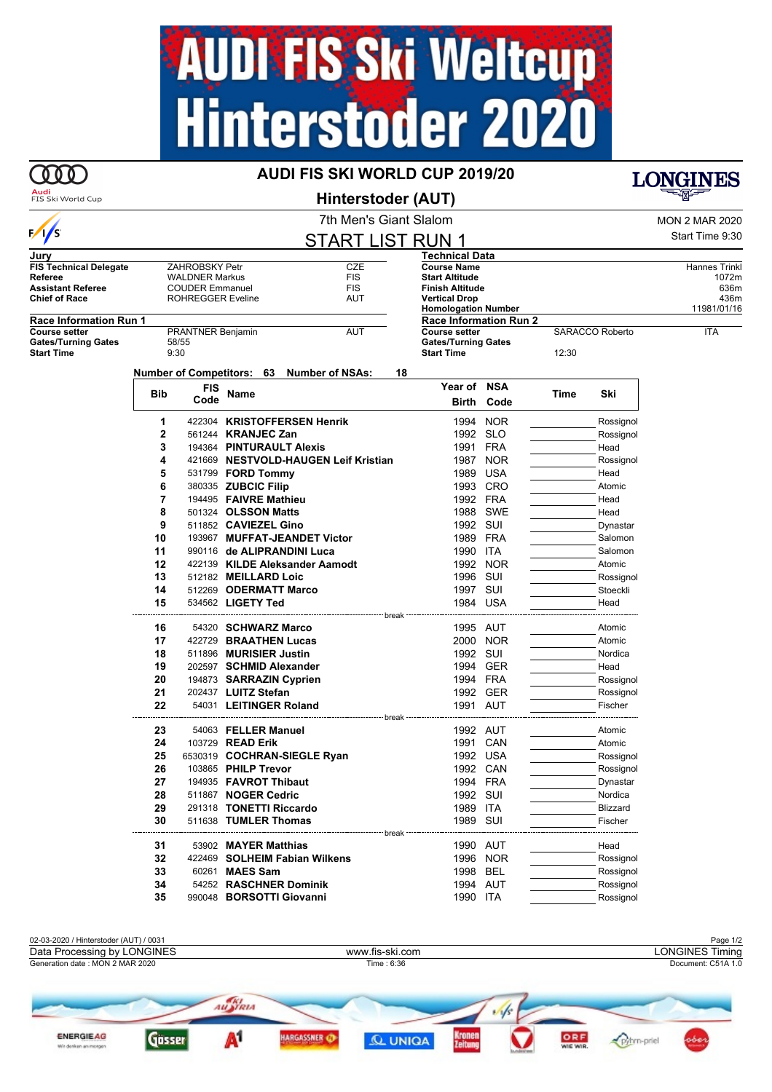## **AUDI-FIS Ski Weltcup<br>Hinterstoder 2020**

## 000

## **AUDI FIS SKI WORLD CUP 2019/20**





| Audi<br>FIS Ski World Cup                        |               |                            |                      |  | Hinterstoder (AUT)                              |                                                    |                            |      |                 | ᆕख़ॸ                  |
|--------------------------------------------------|---------------|----------------------------|----------------------|--|-------------------------------------------------|----------------------------------------------------|----------------------------|------|-----------------|-----------------------|
|                                                  |               |                            |                      |  | 7th Men's Giant Slalom                          |                                                    |                            |      |                 | <b>MON 2 MAR 2020</b> |
| $\sqrt{s}$                                       |               |                            |                      |  | <b>START LIST RUN 1</b>                         |                                                    |                            |      |                 | Start Time 9:30       |
| Jurv                                             |               |                            |                      |  |                                                 | <b>Technical Data</b>                              |                            |      |                 |                       |
| <b>FIS Technical Delegate</b>                    |               | ZAHROBSKY Petr             |                      |  | <b>CZE</b>                                      | <b>Course Name</b>                                 |                            |      |                 | Hannes Trinkl         |
| Referee                                          |               | <b>WALDNER Markus</b>      |                      |  | <b>FIS</b>                                      | <b>Start Altitude</b>                              |                            |      |                 | 1072m                 |
| <b>Assistant Referee</b><br><b>Chief of Race</b> |               | <b>COUDER Emmanuel</b>     |                      |  | <b>FIS</b><br>AUT                               | <b>Finish Altitude</b>                             |                            |      |                 | 636m<br>436m          |
|                                                  |               | <b>ROHREGGER Eveline</b>   |                      |  |                                                 | <b>Vertical Drop</b><br><b>Homologation Number</b> |                            |      |                 | 11981/01/16           |
| <b>Race Information Run 1</b>                    |               |                            |                      |  |                                                 | <b>Race Information Run 2</b>                      |                            |      |                 |                       |
| <b>Course setter</b>                             |               | <b>PRANTNER Benjamin</b>   |                      |  | AUT                                             | <b>Course setter</b>                               |                            |      | SARACCO Roberto | <b>ITA</b>            |
| <b>Gates/Turning Gates</b><br><b>Start Time</b>  | 58/55<br>9:30 |                            |                      |  |                                                 | <b>Start Time</b>                                  | <b>Gates/Turning Gates</b> |      |                 |                       |
|                                                  |               |                            |                      |  | Number of Competitors: 63 Number of NSAs:<br>18 |                                                    |                            |      |                 |                       |
|                                                  |               | FIS                        |                      |  |                                                 | Year of NSA                                        |                            |      |                 |                       |
|                                                  | Bib           | Code                       | Name                 |  |                                                 |                                                    |                            | Time | Ski             |                       |
|                                                  |               |                            |                      |  |                                                 | Birth                                              | Code                       |      |                 |                       |
|                                                  | 1             |                            |                      |  | 422304 KRISTOFFERSEN Henrik                     | 1994                                               | <b>NOR</b>                 |      | Rossignol       |                       |
|                                                  | 2             | 561244 <b>KRANJEC Zan</b>  |                      |  |                                                 | 1992                                               | SLO                        |      | Rossignol       |                       |
|                                                  | 3             |                            |                      |  | 194364 PINTURAULT Alexis                        | 1991                                               | FRA                        |      | Head            |                       |
|                                                  | 4             |                            |                      |  | 421669 NESTVOLD-HAUGEN Leif Kristian            | 1987                                               | <b>NOR</b>                 |      | Rossignol       |                       |
|                                                  | 5             | 531799 <b>FORD Tommy</b>   |                      |  |                                                 | 1989                                               | USA                        |      | Head            |                       |
|                                                  | 6             | 380335 <b>ZUBCIC Filip</b> |                      |  |                                                 |                                                    | 1993 CRO                   |      | Atomic          |                       |
|                                                  | 7             | 194495 FAIVRE Mathieu      |                      |  |                                                 | 1992                                               | FRA                        |      | Head            |                       |
|                                                  | 8             | 501324 OLSSON Matts        |                      |  |                                                 | 1988                                               | SWE                        |      | Head            |                       |
|                                                  | 9             | 511852 CAVIEZEL Gino       |                      |  |                                                 |                                                    | 1992 SUI                   |      | Dynastar        |                       |
|                                                  | 10            |                            |                      |  | 193967 MUFFAT-JEANDET Victor                    |                                                    | 1989 FRA                   |      | Salomon         |                       |
|                                                  | 11            |                            |                      |  | 990116 de ALIPRANDINI Luca                      | 1990 ITA                                           |                            |      | Salomon         |                       |
|                                                  | 12            |                            |                      |  | 422139 KILDE Aleksander Aamodt                  |                                                    | 1992 NOR                   |      | Atomic          |                       |
|                                                  | 13            | 512182 MEILLARD Loic       |                      |  |                                                 | 1996 SUI                                           |                            |      | Rossignol       |                       |
|                                                  | 14            |                            |                      |  | 512269 ODERMATT Marco                           |                                                    | 1997 SUI                   |      | Stoeckli        |                       |
|                                                  | 15            | 534562 LIGETY Ted          |                      |  |                                                 |                                                    | 1984 USA                   |      | Head            |                       |
|                                                  |               |                            |                      |  |                                                 |                                                    |                            |      |                 |                       |
|                                                  | 16            |                            |                      |  | 54320 SCHWARZ Marco                             |                                                    | 1995 AUT                   |      | Atomic          |                       |
|                                                  | 17            |                            |                      |  | 422729 BRAATHEN Lucas                           |                                                    | 2000 NOR                   |      | Atomic          |                       |
|                                                  | 18            | 511896 MURISIER Justin     |                      |  |                                                 |                                                    | 1992 SUI                   |      | Nordica         |                       |
|                                                  | 19            |                            |                      |  | 202597 SCHMID Alexander                         |                                                    | 1994 GER                   |      | Head            |                       |
|                                                  | 20            |                            |                      |  | 194873 SARRAZIN Cyprien                         |                                                    | 1994 FRA                   |      | Rossignol       |                       |
|                                                  | 21            | 202437 LUITZ Stefan        |                      |  |                                                 |                                                    | 1992 GER                   |      | Rossignol       |                       |
|                                                  | 22            |                            |                      |  | 54031 LEITINGER Roland                          |                                                    | 1991 AUT                   |      | Fischer         |                       |
|                                                  |               |                            |                      |  |                                                 |                                                    |                            |      |                 |                       |
|                                                  | 23            |                            | 54063 FELLER Manuel  |  |                                                 |                                                    | 1992 AUT                   |      | Atomic          |                       |
|                                                  | 24            | 103729 <b>READ Erik</b>    |                      |  |                                                 |                                                    | 1991 CAN                   |      | Atomic          |                       |
|                                                  | 25            |                            |                      |  | 6530319 COCHRAN-SIEGLE Ryan                     |                                                    | 1992 USA                   |      | Rossignol       |                       |
|                                                  | 26            | 103865 PHILP Trevor        |                      |  |                                                 |                                                    | 1992 CAN                   |      | Rossignol       |                       |
|                                                  | 27            | 194935 FAVROT Thibaut      |                      |  |                                                 |                                                    | 1994 FRA                   |      | Dynastar        |                       |
|                                                  | 28            | 511867 NOGER Cedric        |                      |  |                                                 | 1992 SUI                                           |                            |      | Nordica         |                       |
|                                                  | 29            |                            |                      |  | 291318 TONETTI Riccardo                         | 1989 ITA                                           |                            |      | <b>Blizzard</b> |                       |
|                                                  | 30            | 511638 TUMLER Thomas       |                      |  |                                                 | 1989 SUI                                           |                            |      | Fischer         |                       |
|                                                  |               |                            |                      |  | break                                           |                                                    |                            |      |                 |                       |
|                                                  | 31            |                            | 53902 MAYER Matthias |  |                                                 |                                                    | 1990 AUT                   |      | Head            |                       |
|                                                  | 32            |                            |                      |  | 422469 SOLHEIM Fabian Wilkens                   |                                                    | 1996 NOR                   |      | Rossignol       |                       |
|                                                  | 33            |                            | 60261 MAES Sam       |  |                                                 |                                                    | 1998 BEL                   |      | Rossignol       |                       |
|                                                  | 34            |                            |                      |  | 54252 RASCHNER Dominik                          |                                                    | 1994 AUT                   |      | Rossignol       |                       |
|                                                  | 35            |                            |                      |  | 990048 BORSOTTI Giovanni                        | 1990 ITA                                           |                            |      | Rossignol       |                       |